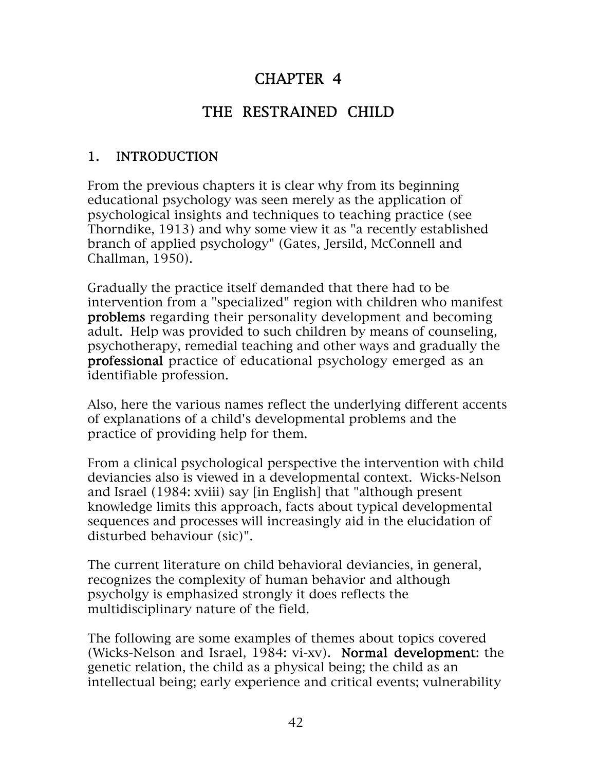## CHAPTER 4

# THE RESTRAINED CHILD

## 1. INTRODUCTION

From the previous chapters it is clear why from its beginning educational psychology was seen merely as the application of psychological insights and techniques to teaching practice (see Thorndike, 1913) and why some view it as "a recently established branch of applied psychology" (Gates, Jersild, McConnell and Challman, 1950).

Gradually the practice itself demanded that there had to be intervention from a "specialized" region with children who manifest problems regarding their personality development and becoming adult. Help was provided to such children by means of counseling, psychotherapy, remedial teaching and other ways and gradually the professional practice of educational psychology emerged as an identifiable profession.

Also, here the various names reflect the underlying different accents of explanations of a child's developmental problems and the practice of providing help for them.

From a clinical psychological perspective the intervention with child deviancies also is viewed in a developmental context. Wicks-Nelson and Israel (1984: xviii) say [in English] that "although present knowledge limits this approach, facts about typical developmental sequences and processes will increasingly aid in the elucidation of disturbed behaviour (sic)".

The current literature on child behavioral deviancies, in general, recognizes the complexity of human behavior and although psycholgy is emphasized strongly it does reflects the multidisciplinary nature of the field.

The following are some examples of themes about topics covered (Wicks-Nelson and Israel, 1984: vi-xv). Normal development: the genetic relation, the child as a physical being; the child as an intellectual being; early experience and critical events; vulnerability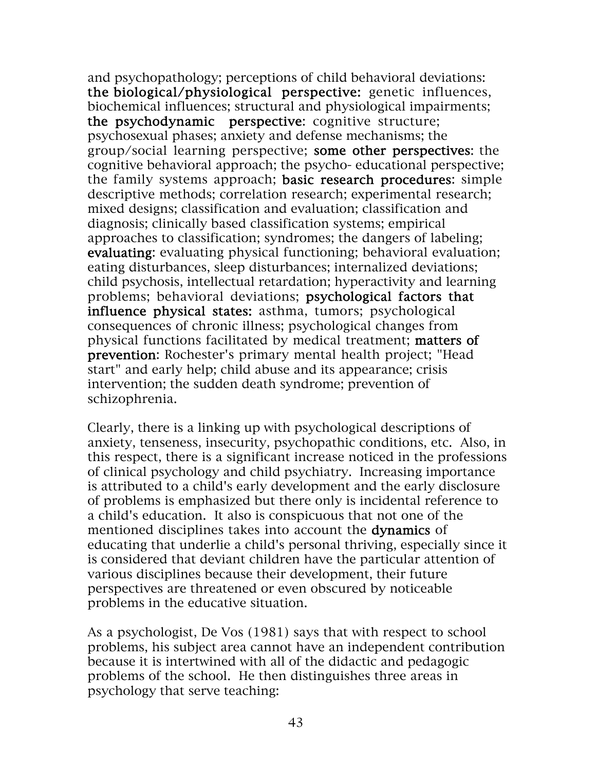and psychopathology; perceptions of child behavioral deviations: the biological/physiological perspective: genetic influences, biochemical influences; structural and physiological impairments; the psychodynamic perspective: cognitive structure; psychosexual phases; anxiety and defense mechanisms; the group/social learning perspective; some other perspectives: the cognitive behavioral approach; the psycho- educational perspective; the family systems approach; basic research procedures: simple descriptive methods; correlation research; experimental research; mixed designs; classification and evaluation; classification and diagnosis; clinically based classification systems; empirical approaches to classification; syndromes; the dangers of labeling; evaluating: evaluating physical functioning; behavioral evaluation; eating disturbances, sleep disturbances; internalized deviations; child psychosis, intellectual retardation; hyperactivity and learning problems; behavioral deviations; psychological factors that influence physical states: asthma, tumors; psychological consequences of chronic illness; psychological changes from physical functions facilitated by medical treatment; matters of prevention: Rochester's primary mental health project; "Head start" and early help; child abuse and its appearance; crisis intervention; the sudden death syndrome; prevention of schizophrenia.

Clearly, there is a linking up with psychological descriptions of anxiety, tenseness, insecurity, psychopathic conditions, etc. Also, in this respect, there is a significant increase noticed in the professions of clinical psychology and child psychiatry. Increasing importance is attributed to a child's early development and the early disclosure of problems is emphasized but there only is incidental reference to a child's education. It also is conspicuous that not one of the mentioned disciplines takes into account the **dynamics** of educating that underlie a child's personal thriving, especially since it is considered that deviant children have the particular attention of various disciplines because their development, their future perspectives are threatened or even obscured by noticeable problems in the educative situation.

As a psychologist, De Vos (1981) says that with respect to school problems, his subject area cannot have an independent contribution because it is intertwined with all of the didactic and pedagogic problems of the school. He then distinguishes three areas in psychology that serve teaching: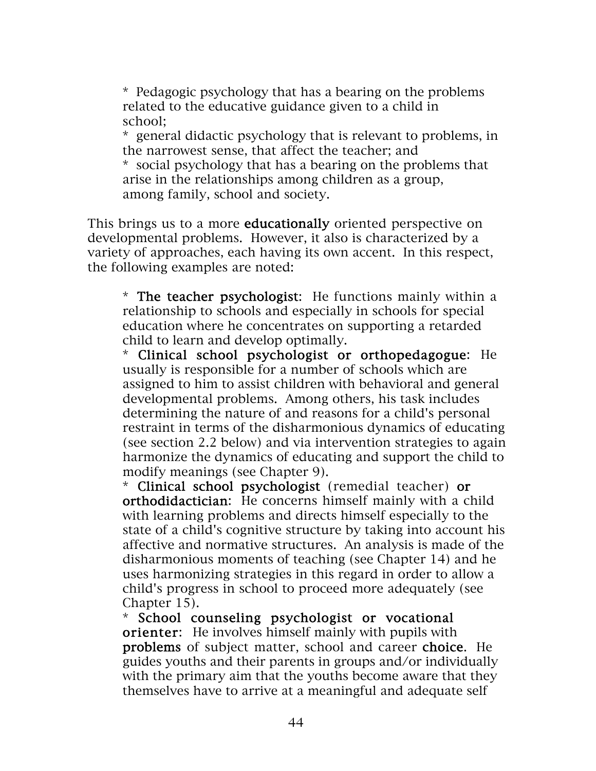\* Pedagogic psychology that has a bearing on the problems related to the educative guidance given to a child in school;

\* general didactic psychology that is relevant to problems, in the narrowest sense, that affect the teacher; and

\* social psychology that has a bearing on the problems that arise in the relationships among children as a group, among family, school and society.

This brings us to a more **educationally** oriented perspective on developmental problems. However, it also is characterized by a variety of approaches, each having its own accent. In this respect, the following examples are noted:

\* The teacher psychologist: He functions mainly within a relationship to schools and especially in schools for special education where he concentrates on supporting a retarded child to learn and develop optimally.

\* Clinical school psychologist or orthopedagogue: He usually is responsible for a number of schools which are assigned to him to assist children with behavioral and general developmental problems. Among others, his task includes determining the nature of and reasons for a child's personal restraint in terms of the disharmonious dynamics of educating (see section 2.2 below) and via intervention strategies to again harmonize the dynamics of educating and support the child to modify meanings (see Chapter 9).

\* Clinical school psychologist (remedial teacher) or orthodidactician: He concerns himself mainly with a child with learning problems and directs himself especially to the state of a child's cognitive structure by taking into account his affective and normative structures. An analysis is made of the disharmonious moments of teaching (see Chapter 14) and he uses harmonizing strategies in this regard in order to allow a child's progress in school to proceed more adequately (see Chapter 15).

\* School counseling psychologist or vocational orienter: He involves himself mainly with pupils with problems of subject matter, school and career choice. He guides youths and their parents in groups and/or individually with the primary aim that the youths become aware that they themselves have to arrive at a meaningful and adequate self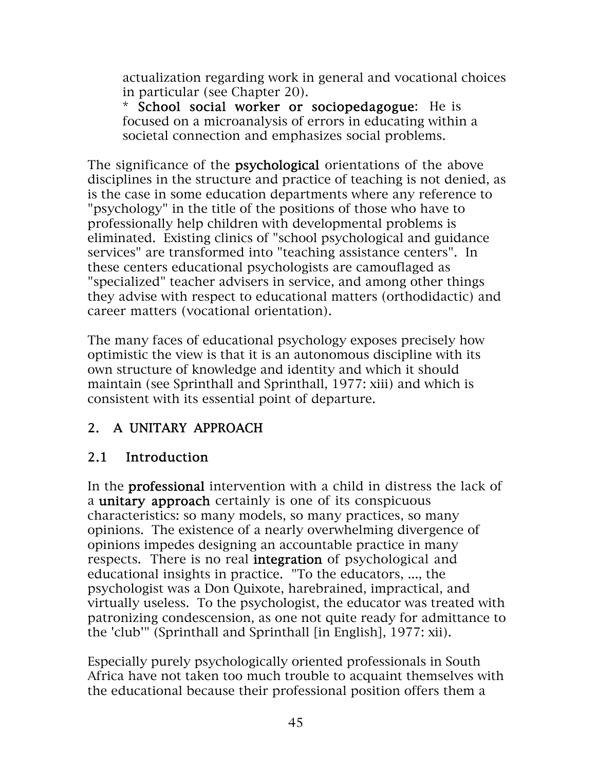actualization regarding work in general and vocational choices in particular (see Chapter 20).

\* School social worker or sociopedagogue: He is focused on a microanalysis of errors in educating within a societal connection and emphasizes social problems.

The significance of the **psychological** orientations of the above disciplines in the structure and practice of teaching is not denied, as is the case in some education departments where any reference to "psychology" in the title of the positions of those who have to professionally help children with developmental problems is eliminated. Existing clinics of "school psychological and guidance services" are transformed into "teaching assistance centers". In these centers educational psychologists are camouflaged as "specialized" teacher advisers in service, and among other things they advise with respect to educational matters (orthodidactic) and career matters (vocational orientation).

The many faces of educational psychology exposes precisely how optimistic the view is that it is an autonomous discipline with its own structure of knowledge and identity and which it should maintain (see Sprinthall and Sprinthall, 1977: xiii) and which is consistent with its essential point of departure.

## 2. A UNITARY APPROACH

## 2.1 Introduction

In the professional intervention with a child in distress the lack of a unitary approach certainly is one of its conspicuous characteristics: so many models, so many practices, so many opinions. The existence of a nearly overwhelming divergence of opinions impedes designing an accountable practice in many respects. There is no real integration of psychological and educational insights in practice. "To the educators, ..., the psychologist was a Don Quixote, harebrained, impractical, and virtually useless. To the psychologist, the educator was treated with patronizing condescension, as one not quite ready for admittance to the 'club'" (Sprinthall and Sprinthall [in English], 1977: xii).

Especially purely psychologically oriented professionals in South Africa have not taken too much trouble to acquaint themselves with the educational because their professional position offers them a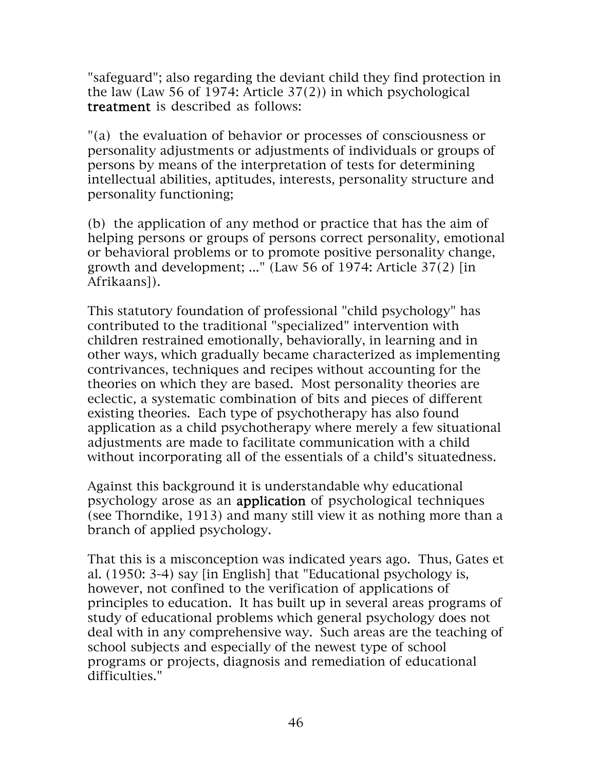"safeguard"; also regarding the deviant child they find protection in the law (Law 56 of 1974: Article 37(2)) in which psychological treatment is described as follows:

"(a) the evaluation of behavior or processes of consciousness or personality adjustments or adjustments of individuals or groups of persons by means of the interpretation of tests for determining intellectual abilities, aptitudes, interests, personality structure and personality functioning;

(b) the application of any method or practice that has the aim of helping persons or groups of persons correct personality, emotional or behavioral problems or to promote positive personality change, growth and development; ..." (Law 56 of 1974: Article 37(2) [in Afrikaans]).

This statutory foundation of professional "child psychology" has contributed to the traditional "specialized" intervention with children restrained emotionally, behaviorally, in learning and in other ways, which gradually became characterized as implementing contrivances, techniques and recipes without accounting for the theories on which they are based. Most personality theories are eclectic, a systematic combination of bits and pieces of different existing theories. Each type of psychotherapy has also found application as a child psychotherapy where merely a few situational adjustments are made to facilitate communication with a child without incorporating all of the essentials of a child's situatedness.

Against this background it is understandable why educational psychology arose as an application of psychological techniques (see Thorndike, 1913) and many still view it as nothing more than a branch of applied psychology.

That this is a misconception was indicated years ago. Thus, Gates et al. (1950: 3-4) say [in English] that "Educational psychology is, however, not confined to the verification of applications of principles to education. It has built up in several areas programs of study of educational problems which general psychology does not deal with in any comprehensive way. Such areas are the teaching of school subjects and especially of the newest type of school programs or projects, diagnosis and remediation of educational difficulties."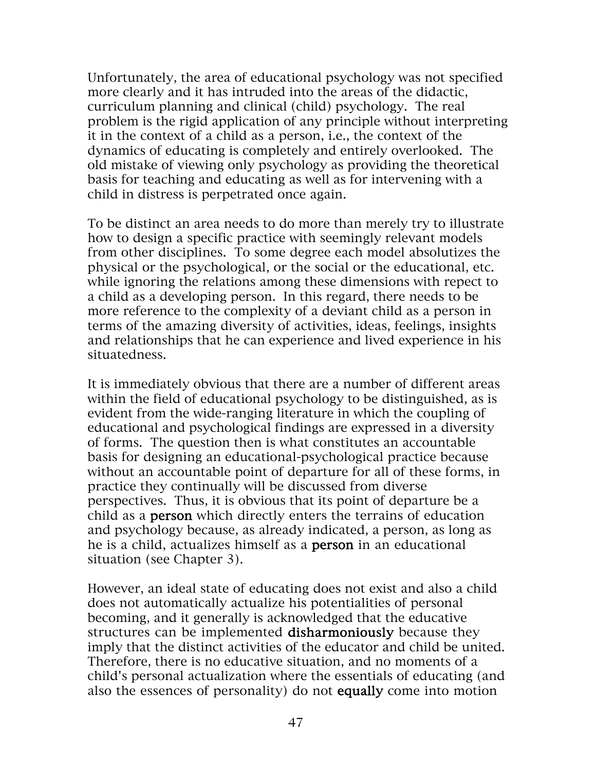Unfortunately, the area of educational psychology was not specified more clearly and it has intruded into the areas of the didactic, curriculum planning and clinical (child) psychology. The real problem is the rigid application of any principle without interpreting it in the context of a child as a person, i.e., the context of the dynamics of educating is completely and entirely overlooked. The old mistake of viewing only psychology as providing the theoretical basis for teaching and educating as well as for intervening with a child in distress is perpetrated once again.

To be distinct an area needs to do more than merely try to illustrate how to design a specific practice with seemingly relevant models from other disciplines. To some degree each model absolutizes the physical or the psychological, or the social or the educational, etc. while ignoring the relations among these dimensions with repect to a child as a developing person. In this regard, there needs to be more reference to the complexity of a deviant child as a person in terms of the amazing diversity of activities, ideas, feelings, insights and relationships that he can experience and lived experience in his situatedness.

It is immediately obvious that there are a number of different areas within the field of educational psychology to be distinguished, as is evident from the wide-ranging literature in which the coupling of educational and psychological findings are expressed in a diversity of forms. The question then is what constitutes an accountable basis for designing an educational-psychological practice because without an accountable point of departure for all of these forms, in practice they continually will be discussed from diverse perspectives. Thus, it is obvious that its point of departure be a child as a person which directly enters the terrains of education and psychology because, as already indicated, a person, as long as he is a child, actualizes himself as a person in an educational situation (see Chapter 3).

However, an ideal state of educating does not exist and also a child does not automatically actualize his potentialities of personal becoming, and it generally is acknowledged that the educative structures can be implemented disharmoniously because they imply that the distinct activities of the educator and child be united. Therefore, there is no educative situation, and no moments of a child's personal actualization where the essentials of educating (and also the essences of personality) do not equally come into motion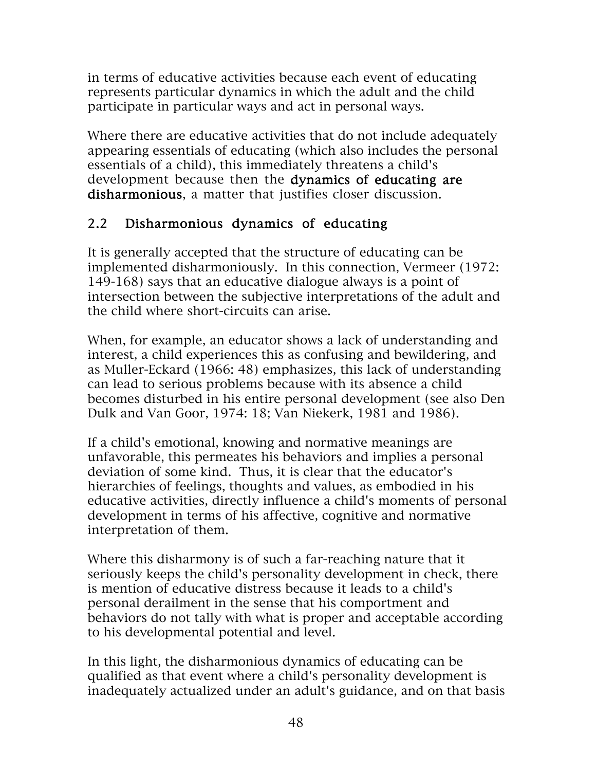in terms of educative activities because each event of educating represents particular dynamics in which the adult and the child participate in particular ways and act in personal ways.

Where there are educative activities that do not include adequately appearing essentials of educating (which also includes the personal essentials of a child), this immediately threatens a child's development because then the dynamics of educating are disharmonious, a matter that justifies closer discussion.

## 2.2 Disharmonious dynamics of educating

It is generally accepted that the structure of educating can be implemented disharmoniously. In this connection, Vermeer (1972: 149-168) says that an educative dialogue always is a point of intersection between the subjective interpretations of the adult and the child where short-circuits can arise.

When, for example, an educator shows a lack of understanding and interest, a child experiences this as confusing and bewildering, and as Muller-Eckard (1966: 48) emphasizes, this lack of understanding can lead to serious problems because with its absence a child becomes disturbed in his entire personal development (see also Den Dulk and Van Goor, 1974: 18; Van Niekerk, 1981 and 1986).

If a child's emotional, knowing and normative meanings are unfavorable, this permeates his behaviors and implies a personal deviation of some kind. Thus, it is clear that the educator's hierarchies of feelings, thoughts and values, as embodied in his educative activities, directly influence a child's moments of personal development in terms of his affective, cognitive and normative interpretation of them.

Where this disharmony is of such a far-reaching nature that it seriously keeps the child's personality development in check, there is mention of educative distress because it leads to a child's personal derailment in the sense that his comportment and behaviors do not tally with what is proper and acceptable according to his developmental potential and level.

In this light, the disharmonious dynamics of educating can be qualified as that event where a child's personality development is inadequately actualized under an adult's guidance, and on that basis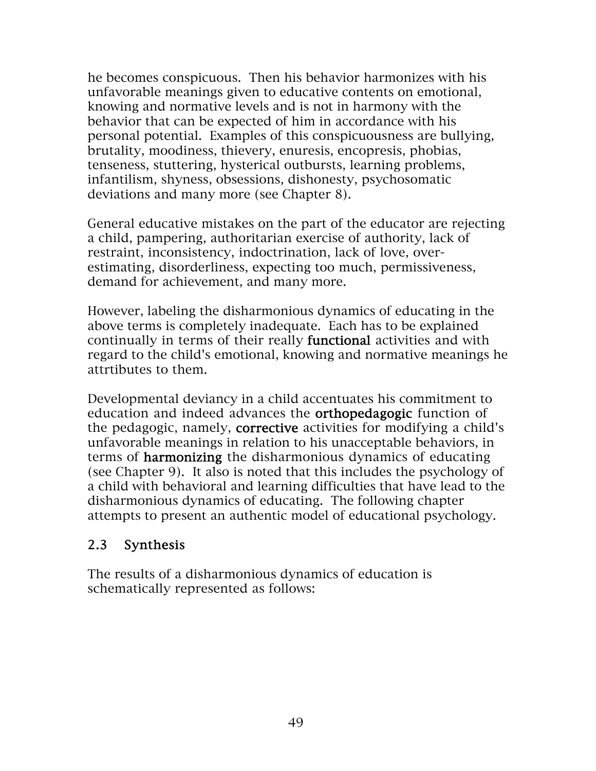he becomes conspicuous. Then his behavior harmonizes with his unfavorable meanings given to educative contents on emotional, knowing and normative levels and is not in harmony with the behavior that can be expected of him in accordance with his personal potential. Examples of this conspicuousness are bullying, brutality, moodiness, thievery, enuresis, encopresis, phobias, tenseness, stuttering, hysterical outbursts, learning problems, infantilism, shyness, obsessions, dishonesty, psychosomatic deviations and many more (see Chapter 8).

General educative mistakes on the part of the educator are rejecting a child, pampering, authoritarian exercise of authority, lack of restraint, inconsistency, indoctrination, lack of love, overestimating, disorderliness, expecting too much, permissiveness, demand for achievement, and many more.

However, labeling the disharmonious dynamics of educating in the above terms is completely inadequate. Each has to be explained continually in terms of their really functional activities and with regard to the child's emotional, knowing and normative meanings he attrtibutes to them.

Developmental deviancy in a child accentuates his commitment to education and indeed advances the **orthopedagogic** function of the pedagogic, namely, corrective activities for modifying a child's unfavorable meanings in relation to his unacceptable behaviors, in terms of harmonizing the disharmonious dynamics of educating (see Chapter 9). It also is noted that this includes the psychology of a child with behavioral and learning difficulties that have lead to the disharmonious dynamics of educating. The following chapter attempts to present an authentic model of educational psychology.

#### 2.3 Synthesis

The results of a disharmonious dynamics of education is schematically represented as follows: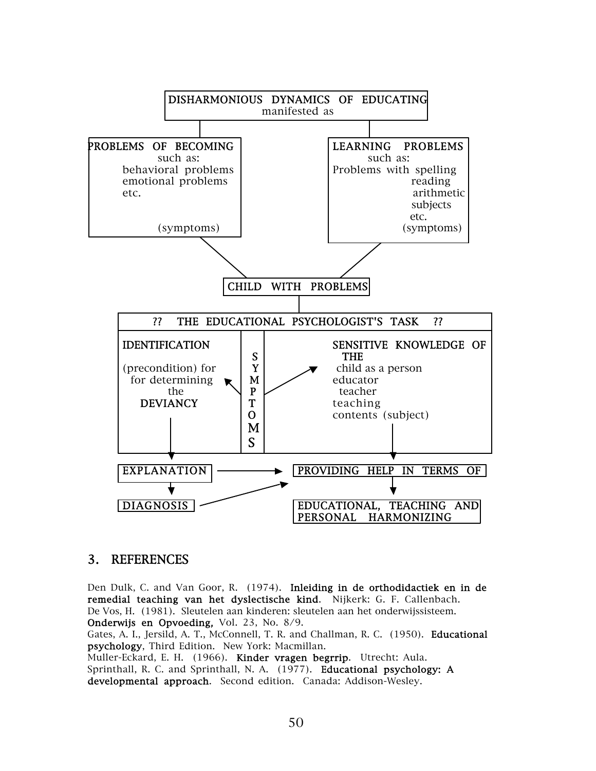

#### 3. REFERENCES

Den Dulk, C. and Van Goor, R. (1974). Inleiding in de orthodidactiek en in de remedial teaching van het dyslectische kind. Nijkerk: G. F. Callenbach. De Vos, H. (1981). Sleutelen aan kinderen: sleutelen aan het onderwijssisteem. Onderwijs en Opvoeding, Vol. 23, No. 8/9.

Gates, A. I., Jersild, A. T., McConnell, T. R. and Challman, R. C. (1950). Educational psychology, Third Edition. New York: Macmillan.

Muller-Eckard, E. H. (1966). Kinder vragen begrrip. Utrecht: Aula. Sprinthall, R. C. and Sprinthall, N. A. (1977). Educational psychology: A developmental approach. Second edition. Canada: Addison-Wesley.